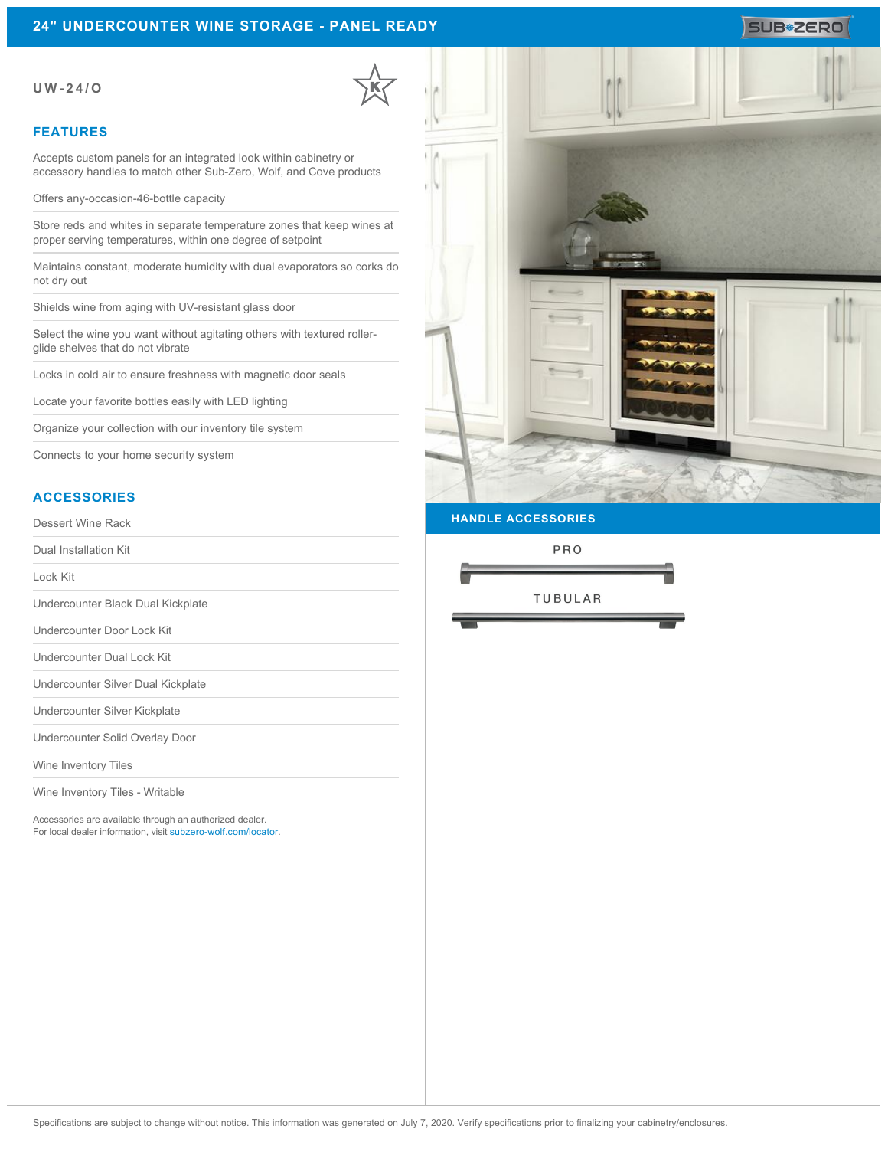## **24" UNDERCOUNTER WINE STORAGE - PANEL READY**

### **UW-24/O**

## **FEATURES**

Accepts custom panels for an integrated look within cabinetry or accessory handles to match other Sub-Zero, Wolf, and Cove products

Offers any-occasion-46-bottle capacity

Store reds and whites in separate temperature zones that keep wines at proper serving temperatures, within one degree of setpoint

Maintains constant, moderate humidity with dual evaporators so corks do not dry out

Shields wine from aging with UV-resistant glass door

Select the wine you want without agitating others with textured rollerglide shelves that do not vibrate

Locks in cold air to ensure freshness with magnetic door seals

Locate your favorite bottles easily with LED lighting

Organize your collection with our inventory tile system

Connects to your home security system

## **ACCESSORIES**

Dessert Wine Rack

Dual Installation Kit

Lock Kit

Undercounter Black Dual Kickplate

Undercounter Door Lock Kit

Undercounter Dual Lock Kit

Undercounter Silver Dual Kickplate

Undercounter Silver Kickplate

Undercounter Solid Overlay Door

Wine Inventory Tiles

Wine Inventory Tiles - Writable

Accessories are available through an authorized dealer. For local dealer information, visit [subzero-wolf.com/locator.](http://www.subzero-wolf.com/locator)



**HANDLE ACCESSORIES**

PRO